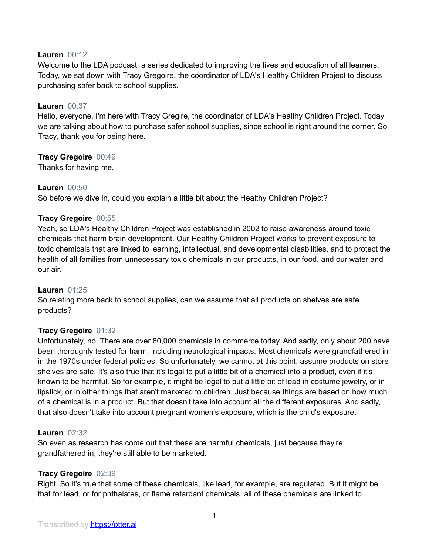#### **Lauren** 00:12

Welcome to the LDA podcast, a series dedicated to improving the lives and education of all learners. Today, we sat down with Tracy Gregoire, the coordinator of LDA's Healthy Children Project to discuss purchasing safer back to school supplies.

#### **Lauren** 00:37

Hello, everyone, I'm here with Tracy Gregire, the coordinator of LDA's Healthy Children Project. Today we are talking about how to purchase safer school supplies, since school is right around the corner. So Tracy, thank you for being here.

# **Tracy Gregoire** 00:49

Thanks for having me.

#### **Lauren** 00:50

So before we dive in, could you explain a little bit about the Healthy Children Project?

# **Tracy Gregoire** 00:55

Yeah, so LDA's Healthy Children Project was established in 2002 to raise awareness around toxic chemicals that harm brain development. Our Healthy Children Project works to prevent exposure to toxic chemicals that are linked to learning, intellectual, and developmental disabilities, and to protect the health of all families from unnecessary toxic chemicals in our products, in our food, and our water and our air.

#### **Lauren** 01:25

So relating more back to school supplies, can we assume that all products on shelves are safe products?

# **Tracy Gregoire** 01:32

Unfortunately, no. There are over 80,000 chemicals in commerce today. And sadly, only about 200 have been thoroughly tested for harm, including neurological impacts. Most chemicals were grandfathered in in the 1970s under federal policies. So unfortunately, we cannot at this point, assume products on store shelves are safe. It's also true that it's legal to put a little bit of a chemical into a product, even if it's known to be harmful. So for example, it might be legal to put a little bit of lead in costume jewelry, or in lipstick, or in other things that aren't marketed to children. Just because things are based on how much of a chemical is in a product. But that doesn't take into account all the different exposures. And sadly, that also doesn't take into account pregnant women's exposure, which is the child's exposure.

#### **Lauren** 02:32

So even as research has come out that these are harmful chemicals, just because they're grandfathered in, they're still able to be marketed.

# **Tracy Gregoire** 02:39

Right. So it's true that some of these chemicals, like lead, for example, are regulated. But it might be that for lead, or for phthalates, or flame retardant chemicals, all of these chemicals are linked to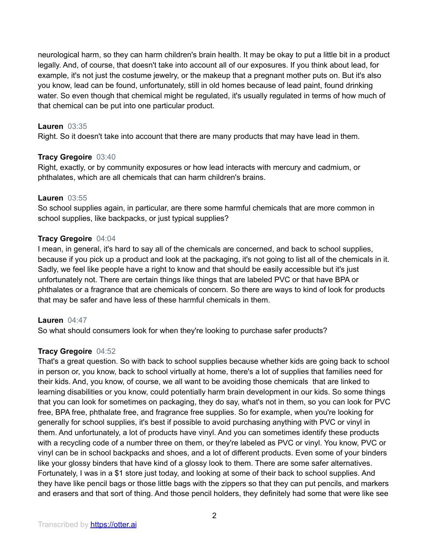neurological harm, so they can harm children's brain health. It may be okay to put a little bit in a product legally. And, of course, that doesn't take into account all of our exposures. If you think about lead, for example, it's not just the costume jewelry, or the makeup that a pregnant mother puts on. But it's also you know, lead can be found, unfortunately, still in old homes because of lead paint, found drinking water. So even though that chemical might be regulated, it's usually regulated in terms of how much of that chemical can be put into one particular product.

# **Lauren** 03:35

Right. So it doesn't take into account that there are many products that may have lead in them.

# **Tracy Gregoire** 03:40

Right, exactly, or by community exposures or how lead interacts with mercury and cadmium, or phthalates, which are all chemicals that can harm children's brains.

# **Lauren** 03:55

So school supplies again, in particular, are there some harmful chemicals that are more common in school supplies, like backpacks, or just typical supplies?

# **Tracy Gregoire** 04:04

I mean, in general, it's hard to say all of the chemicals are concerned, and back to school supplies, because if you pick up a product and look at the packaging, it's not going to list all of the chemicals in it. Sadly, we feel like people have a right to know and that should be easily accessible but it's just unfortunately not. There are certain things like things that are labeled PVC or that have BPA or phthalates or a fragrance that are chemicals of concern. So there are ways to kind of look for products that may be safer and have less of these harmful chemicals in them.

# **Lauren** 04:47

So what should consumers look for when they're looking to purchase safer products?

# **Tracy Gregoire** 04:52

That's a great question. So with back to school supplies because whether kids are going back to school in person or, you know, back to school virtually at home, there's a lot of supplies that families need for their kids. And, you know, of course, we all want to be avoiding those chemicals that are linked to learning disabilities or you know, could potentially harm brain development in our kids. So some things that you can look for sometimes on packaging, they do say, what's not in them, so you can look for PVC free, BPA free, phthalate free, and fragrance free supplies. So for example, when you're looking for generally for school supplies, it's best if possible to avoid purchasing anything with PVC or vinyl in them. And unfortunately, a lot of products have vinyl. And you can sometimes identify these products with a recycling code of a number three on them, or they're labeled as PVC or vinyl. You know, PVC or vinyl can be in school backpacks and shoes, and a lot of different products. Even some of your binders like your glossy binders that have kind of a glossy look to them. There are some safer alternatives. Fortunately, I was in a \$1 store just today, and looking at some of their back to school supplies. And they have like pencil bags or those little bags with the zippers so that they can put pencils, and markers and erasers and that sort of thing. And those pencil holders, they definitely had some that were like see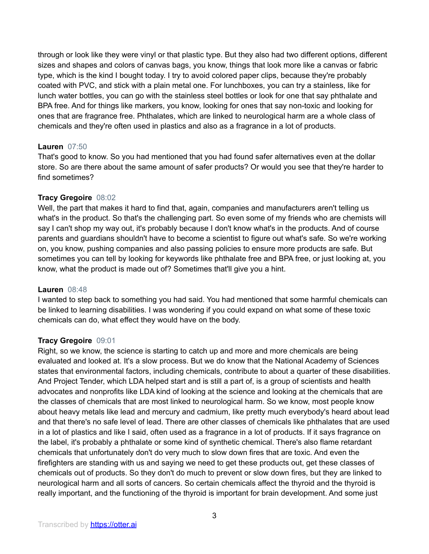through or look like they were vinyl or that plastic type. But they also had two different options, different sizes and shapes and colors of canvas bags, you know, things that look more like a canvas or fabric type, which is the kind I bought today. I try to avoid colored paper clips, because they're probably coated with PVC, and stick with a plain metal one. For lunchboxes, you can try a stainless, like for lunch water bottles, you can go with the stainless steel bottles or look for one that say phthalate and BPA free. And for things like markers, you know, looking for ones that say non-toxic and looking for ones that are fragrance free. Phthalates, which are linked to neurological harm are a whole class of chemicals and they're often used in plastics and also as a fragrance in a lot of products.

# **Lauren** 07:50

That's good to know. So you had mentioned that you had found safer alternatives even at the dollar store. So are there about the same amount of safer products? Or would you see that they're harder to find sometimes?

# **Tracy Gregoire** 08:02

Well, the part that makes it hard to find that, again, companies and manufacturers aren't telling us what's in the product. So that's the challenging part. So even some of my friends who are chemists will say I can't shop my way out, it's probably because I don't know what's in the products. And of course parents and guardians shouldn't have to become a scientist to figure out what's safe. So we're working on, you know, pushing companies and also passing policies to ensure more products are safe. But sometimes you can tell by looking for keywords like phthalate free and BPA free, or just looking at, you know, what the product is made out of? Sometimes that'll give you a hint.

#### **Lauren** 08:48

I wanted to step back to something you had said. You had mentioned that some harmful chemicals can be linked to learning disabilities. I was wondering if you could expand on what some of these toxic chemicals can do, what effect they would have on the body.

# **Tracy Gregoire** 09:01

Right, so we know, the science is starting to catch up and more and more chemicals are being evaluated and looked at. It's a slow process. But we do know that the National Academy of Sciences states that environmental factors, including chemicals, contribute to about a quarter of these disabilities. And Project Tender, which LDA helped start and is still a part of, is a group of scientists and health advocates and nonprofits like LDA kind of looking at the science and looking at the chemicals that are the classes of chemicals that are most linked to neurological harm. So we know, most people know about heavy metals like lead and mercury and cadmium, like pretty much everybody's heard about lead and that there's no safe level of lead. There are other classes of chemicals like phthalates that are used in a lot of plastics and like I said, often used as a fragrance in a lot of products. If it says fragrance on the label, it's probably a phthalate or some kind of synthetic chemical. There's also flame retardant chemicals that unfortunately don't do very much to slow down fires that are toxic. And even the firefighters are standing with us and saying we need to get these products out, get these classes of chemicals out of products. So they don't do much to prevent or slow down fires, but they are linked to neurological harm and all sorts of cancers. So certain chemicals affect the thyroid and the thyroid is really important, and the functioning of the thyroid is important for brain development. And some just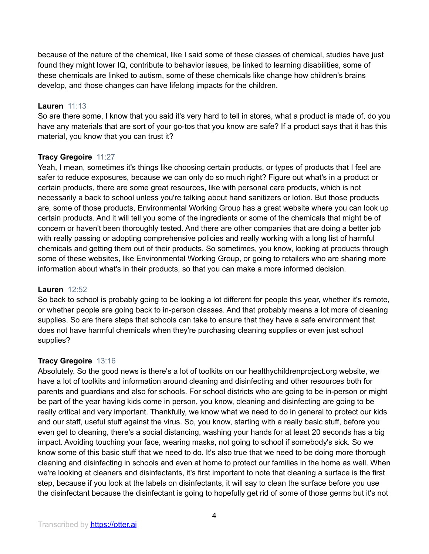because of the nature of the chemical, like I said some of these classes of chemical, studies have just found they might lower IQ, contribute to behavior issues, be linked to learning disabilities, some of these chemicals are linked to autism, some of these chemicals like change how children's brains develop, and those changes can have lifelong impacts for the children.

# **Lauren** 11:13

So are there some, I know that you said it's very hard to tell in stores, what a product is made of, do you have any materials that are sort of your go-tos that you know are safe? If a product says that it has this material, you know that you can trust it?

# **Tracy Gregoire** 11:27

Yeah, I mean, sometimes it's things like choosing certain products, or types of products that I feel are safer to reduce exposures, because we can only do so much right? Figure out what's in a product or certain products, there are some great resources, like with personal care products, which is not necessarily a back to school unless you're talking about hand sanitizers or lotion. But those products are, some of those products, Environmental Working Group has a great website where you can look up certain products. And it will tell you some of the ingredients or some of the chemicals that might be of concern or haven't been thoroughly tested. And there are other companies that are doing a better job with really passing or adopting comprehensive policies and really working with a long list of harmful chemicals and getting them out of their products. So sometimes, you know, looking at products through some of these websites, like Environmental Working Group, or going to retailers who are sharing more information about what's in their products, so that you can make a more informed decision.

# **Lauren** 12:52

So back to school is probably going to be looking a lot different for people this year, whether it's remote, or whether people are going back to in-person classes. And that probably means a lot more of cleaning supplies. So are there steps that schools can take to ensure that they have a safe environment that does not have harmful chemicals when they're purchasing cleaning supplies or even just school supplies?

# **Tracy Gregoire** 13:16

Absolutely. So the good news is there's a lot of toolkits on our healthychildrenproject.org website, we have a lot of toolkits and information around cleaning and disinfecting and other resources both for parents and guardians and also for schools. For school districts who are going to be in-person or might be part of the year having kids come in person, you know, cleaning and disinfecting are going to be really critical and very important. Thankfully, we know what we need to do in general to protect our kids and our staff, useful stuff against the virus. So, you know, starting with a really basic stuff, before you even get to cleaning, there's a social distancing, washing your hands for at least 20 seconds has a big impact. Avoiding touching your face, wearing masks, not going to school if somebody's sick. So we know some of this basic stuff that we need to do. It's also true that we need to be doing more thorough cleaning and disinfecting in schools and even at home to protect our families in the home as well. When we're looking at cleaners and disinfectants, it's first important to note that cleaning a surface is the first step, because if you look at the labels on disinfectants, it will say to clean the surface before you use the disinfectant because the disinfectant is going to hopefully get rid of some of those germs but it's not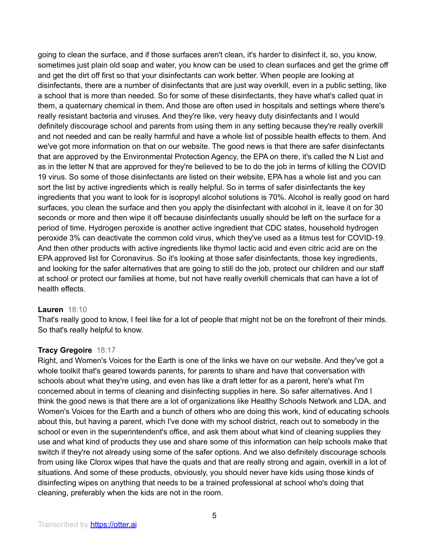going to clean the surface, and if those surfaces aren't clean, it's harder to disinfect it, so, you know, sometimes just plain old soap and water, you know can be used to clean surfaces and get the grime off and get the dirt off first so that your disinfectants can work better. When people are looking at disinfectants, there are a number of disinfectants that are just way overkill, even in a public setting, like a school that is more than needed. So for some of these disinfectants, they have what's called quat in them, a quaternary chemical in them. And those are often used in hospitals and settings where there's really resistant bacteria and viruses. And they're like, very heavy duty disinfectants and I would definitely discourage school and parents from using them in any setting because they're really overkill and not needed and can be really harmful and have a whole list of possible health effects to them. And we've got more information on that on our website. The good news is that there are safer disinfectants that are approved by the Environmental Protection Agency, the EPA on there, it's called the N List and as in the letter N that are approved for they're believed to be to do the job in terms of killing the COVID 19 virus. So some of those disinfectants are listed on their website, EPA has a whole list and you can sort the list by active ingredients which is really helpful. So in terms of safer disinfectants the key ingredients that you want to look for is isopropyl alcohol solutions is 70%. Alcohol is really good on hard surfaces, you clean the surface and then you apply the disinfectant with alcohol in it, leave it on for 30 seconds or more and then wipe it off because disinfectants usually should be left on the surface for a period of time. Hydrogen peroxide is another active ingredient that CDC states, household hydrogen peroxide 3% can deactivate the common cold virus, which they've used as a litmus test for COVID-19. And then other products with active ingredients like thymol lactic acid and even citric acid are on the EPA approved list for Coronavirus. So it's looking at those safer disinfectants, those key ingredients, and looking for the safer alternatives that are going to still do the job, protect our children and our staff at school or protect our families at home, but not have really overkill chemicals that can have a lot of health effects.

#### **Lauren** 18:10

That's really good to know, I feel like for a lot of people that might not be on the forefront of their minds. So that's really helpful to know.

# **Tracy Gregoire** 18:17

Right, and Women's Voices for the Earth is one of the links we have on our website. And they've got a whole toolkit that's geared towards parents, for parents to share and have that conversation with schools about what they're using, and even has like a draft letter for as a parent, here's what I'm concerned about in terms of cleaning and disinfecting supplies in here. So safer alternatives. And I think the good news is that there are a lot of organizations like Healthy Schools Network and LDA, and Women's Voices for the Earth and a bunch of others who are doing this work, kind of educating schools about this, but having a parent, which I've done with my school district, reach out to somebody in the school or even in the superintendent's office, and ask them about what kind of cleaning supplies they use and what kind of products they use and share some of this information can help schools make that switch if they're not already using some of the safer options. And we also definitely discourage schools from using like Clorox wipes that have the quats and that are really strong and again, overkill in a lot of situations. And some of these products, obviously, you should never have kids using those kinds of disinfecting wipes on anything that needs to be a trained professional at school who's doing that cleaning, preferably when the kids are not in the room.